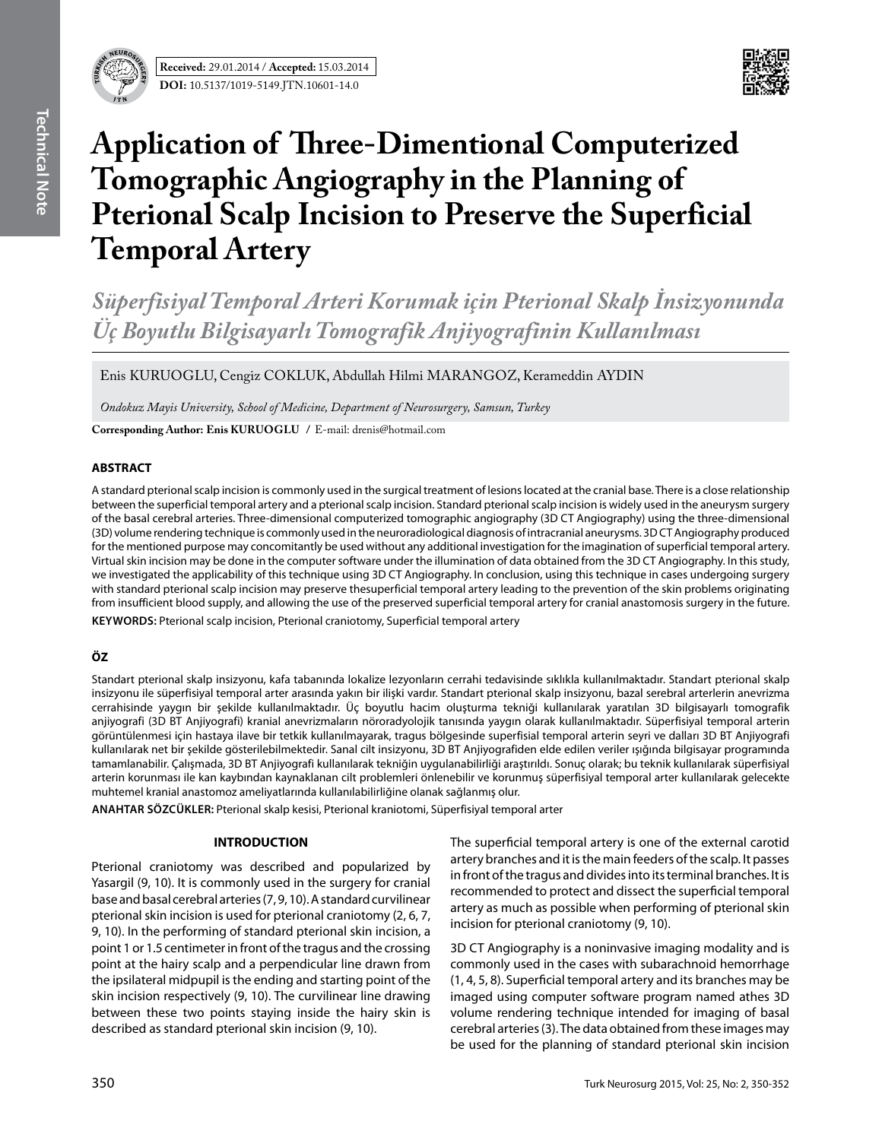



# **Application of Three-Dimentional Computerized Tomographic Angiography in the Planning of Pterional Scalp Incision to Preserve the Superficial Temporal Artery**

*Süperfisiyal Temporal Arteri Korumak için Pterional Skalp İnsizyonunda Üç Boyutlu Bilgisayarlı Tomografik Anjiyografinin Kullanılması*

Enis KURUOGLU, Cengiz COKLUK, Abdullah Hilmi MARANGOZ, Kerameddin AYDIN

*Ondokuz Mayis University, School of Medicine, Department of Neurosurgery, Samsun, Turkey*

**Corresponding Author: Enis KuruoGlu /** E-mail: drenis@hotmail.com

## **ABSTRACT**

A standard pterional scalp incision is commonly used in the surgical treatment of lesions located at the cranial base. There is a close relationship between the superficial temporal artery and a pterional scalp incision. Standard pterional scalp incision is widely used in the aneurysm surgery of the basal cerebral arteries. Three-dimensional computerized tomographic angiography (3D CT Angiography) using the three-dimensional (3D) volume rendering technique is commonly used in the neuroradiological diagnosis of intracranial aneurysms. 3D CT Angiography produced for the mentioned purpose may concomitantly be used without any additional investigation for the imagination of superficial temporal artery. Virtual skin incision may be done in the computer software under the illumination of data obtained from the 3D CT Angiography. In this study, we investigated the applicability of this technique using 3D CT Angiography. In conclusion, using this technique in cases undergoing surgery with standard pterional scalp incision may preserve thesuperficial temporal artery leading to the prevention of the skin problems originating from insufficient blood supply, and allowing the use of the preserved superficial temporal artery for cranial anastomosis surgery in the future. KEYWORDS: Pterional scalp incision, Pterional craniotomy, Superficial temporal artery

# **ÖZ**

Standart pterional skalp insizyonu, kafa tabanında lokalize lezyonların cerrahi tedavisinde sıklıkla kullanılmaktadır. Standart pterional skalp insizyonu ile süperfisiyal temporal arter arasında yakın bir ilişki vardır. Standart pterional skalp insizyonu, bazal serebral arterlerin anevrizma cerrahisinde yaygın bir şekilde kullanılmaktadır. Üç boyutlu hacim oluşturma tekniği kullanılarak yaratılan 3D bilgisayarlı tomografik anjiyografi (3D BT Anjiyografi) kranial anevrizmaların nöroradyolojik tanısında yaygın olarak kullanılmaktadır. Süperfisiyal temporal arterin görüntülenmesi için hastaya ilave bir tetkik kullanılmayarak, tragus bölgesinde superfisial temporal arterin seyri ve dalları 3D BT Anjiyografi kullanılarak net bir şekilde gösterilebilmektedir. Sanal cilt insizyonu, 3D BT Anjiyografiden elde edilen veriler ışığında bilgisayar programında tamamlanabilir. Çalışmada, 3D BT Anjiyografi kullanılarak tekniğin uygulanabilirliği araştırıldı. Sonuç olarak; bu teknik kullanılarak süperfisiyal arterin korunması ile kan kaybından kaynaklanan cilt problemleri önlenebilir ve korunmuş süperfisiyal temporal arter kullanılarak gelecekte muhtemel kranial anastomoz ameliyatlarında kullanılabilirliğine olanak sağlanmış olur.

**ANAHTAR SÖZCÜKLER:** Pterional skalp kesisi, Pterional kraniotomi, Süperfisiyal temporal arter

# **INTRODUCTION**

Pterional craniotomy was described and popularized by Yasargil (9, 10). It is commonly used in the surgery for cranial base and basal cerebral arteries (7, 9, 10). A standard curvilinear pterional skin incision is used for pterional craniotomy (2, 6, 7, 9, 10). In the performing of standard pterional skin incision, a point 1 or 1.5 centimeter in front of the tragus and the crossing point at the hairy scalp and a perpendicular line drawn from the ipsilateral midpupil is the ending and starting point of the skin incision respectively (9, 10). The curvilinear line drawing between these two points staying inside the hairy skin is described as standard pterional skin incision (9, 10).

The superficial temporal artery is one of the external carotid artery branches and it is the main feeders of the scalp. It passes in front of the tragus and divides into its terminal branches. It is recommended to protect and dissect the superficial temporal artery as much as possible when performing of pterional skin incision for pterional craniotomy (9, 10).

3D CT Angiography is a noninvasive imaging modality and is commonly used in the cases with subarachnoid hemorrhage (1, 4, 5, 8). Superficial temporal artery and its branches may be imaged using computer software program named athes 3D volume rendering technique intended for imaging of basal cerebral arteries (3). The data obtained from these images may be used for the planning of standard pterional skin incision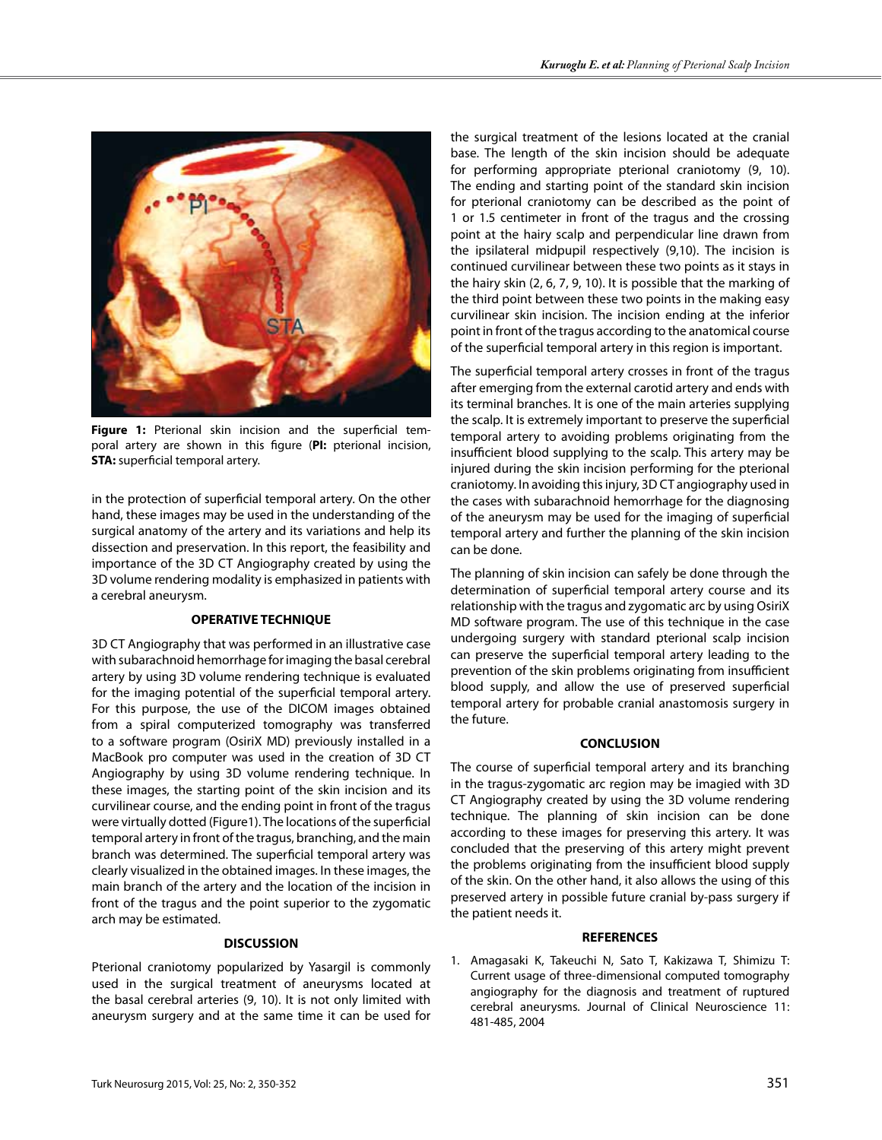

**Figure 1:** Pterional skin incision and the superficial temporal artery are shown in this figure (**PI:** pterional incision, **STA:** superficial temporal artery.

in the protection of superficial temporal artery. On the other hand, these images may be used in the understanding of the surgical anatomy of the artery and its variations and help its dissection and preservation. In this report, the feasibility and importance of the 3D CT Angiography created by using the 3D volume rendering modality is emphasized in patients with a cerebral aneurysm.

#### **OPERATIVE TECHNIQUE**

3D CT Angiography that was performed in an illustrative case with subarachnoid hemorrhage for imaging the basal cerebral artery by using 3D volume rendering technique is evaluated for the imaging potential of the superficial temporal artery. For this purpose, the use of the DICOM images obtained from a spiral computerized tomography was transferred to a software program (OsiriX MD) previously installed in a MacBook pro computer was used in the creation of 3D CT Angiography by using 3D volume rendering technique. In these images, the starting point of the skin incision and its curvilinear course, and the ending point in front of the tragus were virtually dotted (Figure1). The locations of the superficial temporal artery in front of the tragus, branching, and the main branch was determined. The superficial temporal artery was clearly visualized in the obtained images. In these images, the main branch of the artery and the location of the incision in front of the tragus and the point superior to the zygomatic arch may be estimated.

# **DISCUSSION**

Pterional craniotomy popularized by Yasargil is commonly used in the surgical treatment of aneurysms located at the basal cerebral arteries (9, 10). It is not only limited with aneurysm surgery and at the same time it can be used for

the surgical treatment of the lesions located at the cranial base. The length of the skin incision should be adequate for performing appropriate pterional craniotomy (9, 10). The ending and starting point of the standard skin incision for pterional craniotomy can be described as the point of 1 or 1.5 centimeter in front of the tragus and the crossing point at the hairy scalp and perpendicular line drawn from the ipsilateral midpupil respectively (9,10). The incision is continued curvilinear between these two points as it stays in the hairy skin (2, 6, 7, 9, 10). It is possible that the marking of the third point between these two points in the making easy curvilinear skin incision. The incision ending at the inferior point in front of the tragus according to the anatomical course of the superficial temporal artery in this region is important.

The superficial temporal artery crosses in front of the tragus after emerging from the external carotid artery and ends with its terminal branches. It is one of the main arteries supplying the scalp. It is extremely important to preserve the superficial temporal artery to avoiding problems originating from the insufficient blood supplying to the scalp. This artery may be injured during the skin incision performing for the pterional craniotomy. In avoiding this injury, 3D CT angiography used in the cases with subarachnoid hemorrhage for the diagnosing of the aneurysm may be used for the imaging of superficial temporal artery and further the planning of the skin incision can be done.

The planning of skin incision can safely be done through the determination of superficial temporal artery course and its relationship with the tragus and zygomatic arc by using OsiriX MD software program. The use of this technique in the case undergoing surgery with standard pterional scalp incision can preserve the superficial temporal artery leading to the prevention of the skin problems originating from insufficient blood supply, and allow the use of preserved superficial temporal artery for probable cranial anastomosis surgery in the future.

## **CONCLUSION**

The course of superficial temporal artery and its branching in the tragus-zygomatic arc region may be imagied with 3D CT Angiography created by using the 3D volume rendering technique. The planning of skin incision can be done according to these images for preserving this artery. It was concluded that the preserving of this artery might prevent the problems originating from the insufficient blood supply of the skin. On the other hand, it also allows the using of this preserved artery in possible future cranial by-pass surgery if the patient needs it.

## **REFERENCES**

1. Amagasaki K, Takeuchi N, Sato T, Kakizawa T, Shimizu T: Current usage of three-dimensional computed tomography angiography for the diagnosis and treatment of ruptured cerebral aneurysms. Journal of Clinical Neuroscience 11: 481-485, 2004